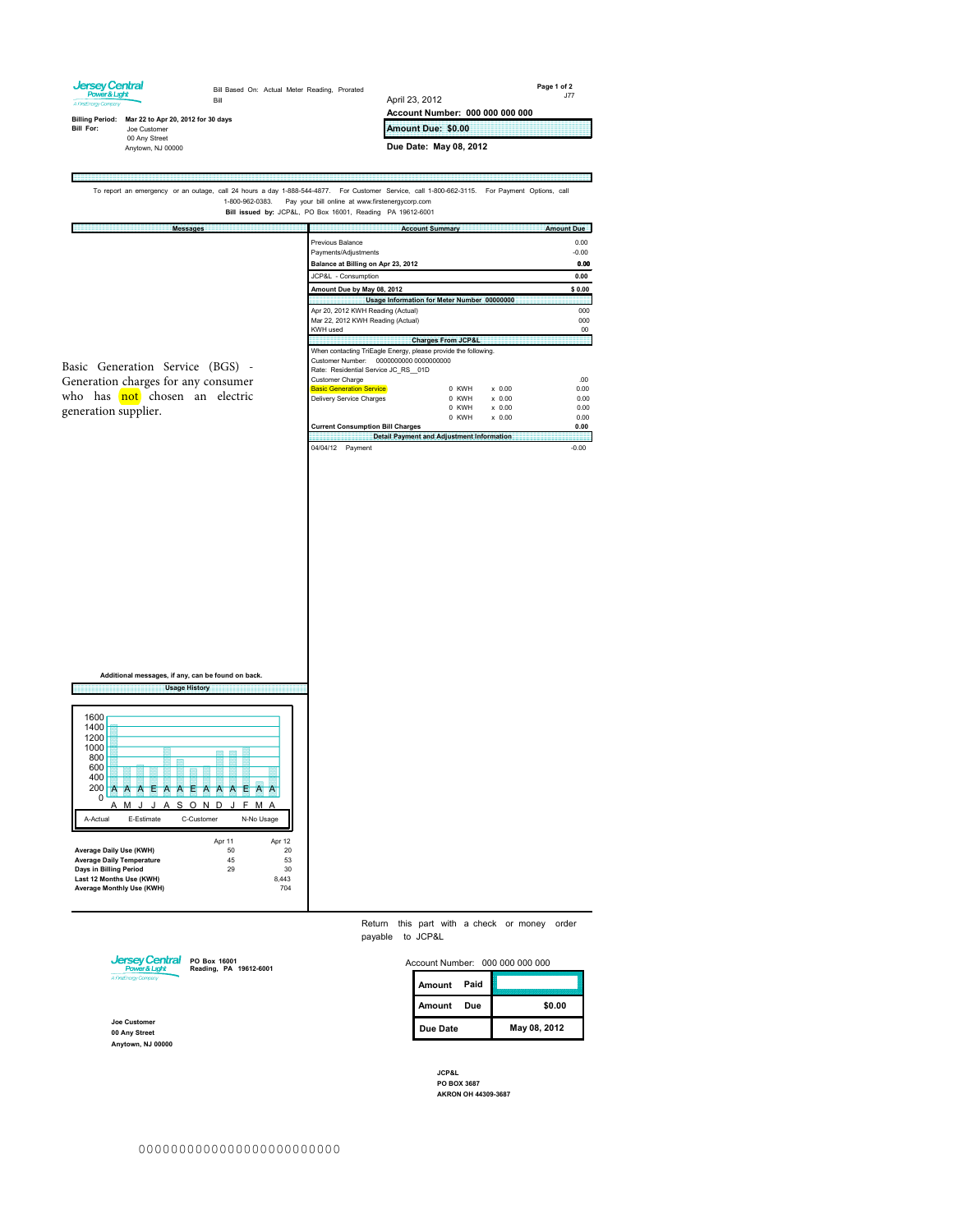

To report an emergency or an outage, call 24 hours a day 1-888-544-4877. For Customer Service, call 1-800-662-3115. For Payment Options, call<br>1-800-962-0383. Pay your bill online at www.firstenergycorp.com<br>Bill issued by:

| <b>Messages</b>                     |                                                                                                       | <b>Account Summary</b>                           | <b>Amount Due</b>       |
|-------------------------------------|-------------------------------------------------------------------------------------------------------|--------------------------------------------------|-------------------------|
|                                     | Previous Balance<br>Payments/Adjustments<br>Balance at Billing on Apr 23, 2012                        |                                                  | 0.00<br>$-0.00$<br>0.00 |
| Basic Generation Service (BGS) -    | JCP&L - Consumption                                                                                   |                                                  | 0.00                    |
|                                     | Amount Due by May 08, 2012                                                                            |                                                  | \$0.00                  |
|                                     |                                                                                                       | Usage Information for Meter Number 00000000      |                         |
|                                     | Apr 20, 2012 KWH Reading (Actual)<br>Mar 22, 2012 KWH Reading (Actual)<br>KWH used                    |                                                  | 000<br>000<br>00        |
|                                     |                                                                                                       | <b>Charges From JCP&amp;L</b>                    |                         |
|                                     | When contacting TriEagle Energy, please provide the following.<br>Rate: Residential Service JC RS 01D |                                                  |                         |
| Generation charges for any consumer | Customer Charge                                                                                       |                                                  | 00 <sup>1</sup>         |
|                                     | <b>Basic Generation Service</b>                                                                       | 0 KWH<br>$\times$ 0.00                           | 0.00                    |
| who has not chosen an electric      | <b>Delivery Service Charges</b>                                                                       | 0 KWH<br>$x$ 0.00                                | 0.00                    |
| generation supplier.                |                                                                                                       | 0 KWH<br>$\times$ 0.00                           | 0.00                    |
|                                     |                                                                                                       | 0 KWH<br>$x$ 0.00                                | 0.00                    |
|                                     | <b>Current Consumption Bill Charges</b>                                                               |                                                  | 0.00                    |
|                                     |                                                                                                       | <b>Detail Payment and Adjustment Information</b> |                         |
|                                     | 04/04/12<br>Payment                                                                                   |                                                  | $-0.00$                 |

**Additional messages, if any, can be found on back. Usage History** 1600 1400 1200 1000 800 <u> Triberit</u> 600 400 <sup>0</sup> AAEAAAEAAEAAA  $200$  0 AMJ J ASOND J FMA A-Actual E-Estimate C-Customer N-No Usage Apr 11<br>50<br>45<br>29 Apr 12 20 53 **Average Daily Use (KWH) Average Daily Temperature Days in Billing Period Last 12 Months Use (KWH) Average Monthly Use (KWH)**  $30^{-1}$ 8,443 704

E

Return this part with a check or money order payable to JCP&L



**PO Box 16001 Reading, PA 19612-6001**

**Joe Customer 00 Any Street Anytown, NJ 00000**

| Account Number: 000 000 000 000 |             |     |              |
|---------------------------------|-------------|-----|--------------|
|                                 | Amount Paid |     |              |
|                                 | Amount      | Due | \$0.00       |
|                                 | Due Date    |     | May 08, 2012 |

m

**JCP&L PO BOX 3687 AKRON OH 44309-3687**